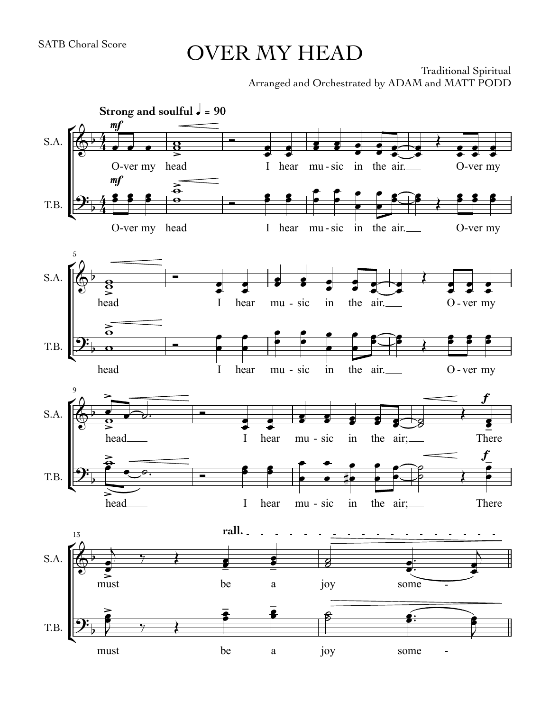## OVER MY HEAD

Traditional Spiritual Arranged and Orchestrated by ADAM and MATT PODD

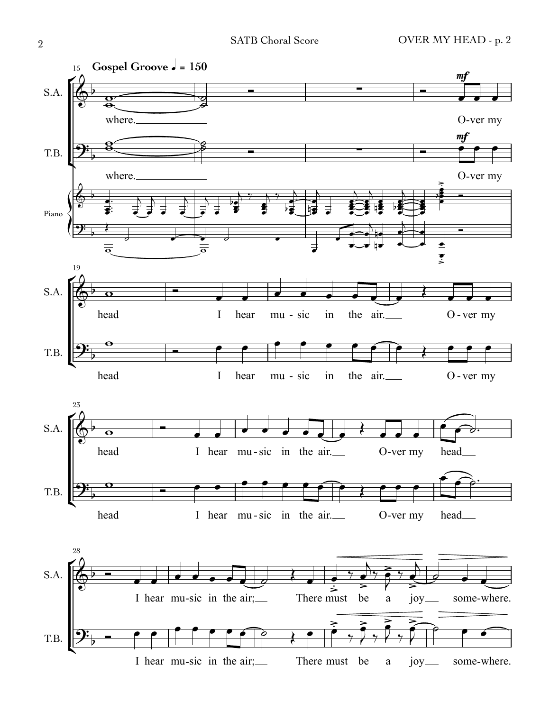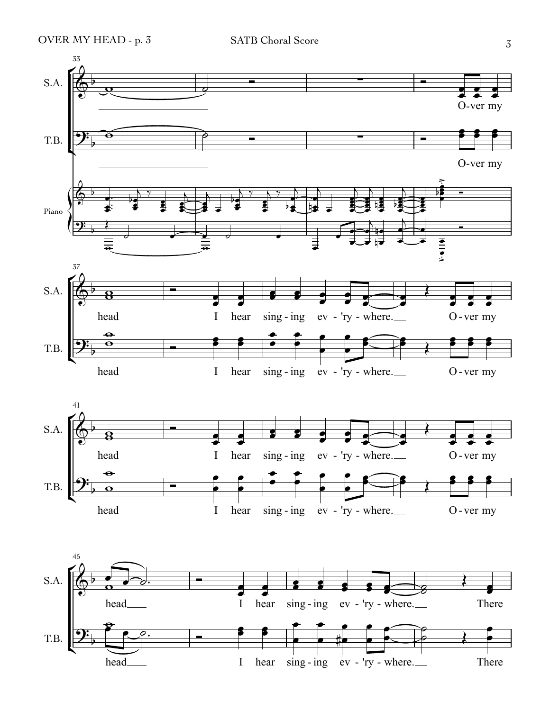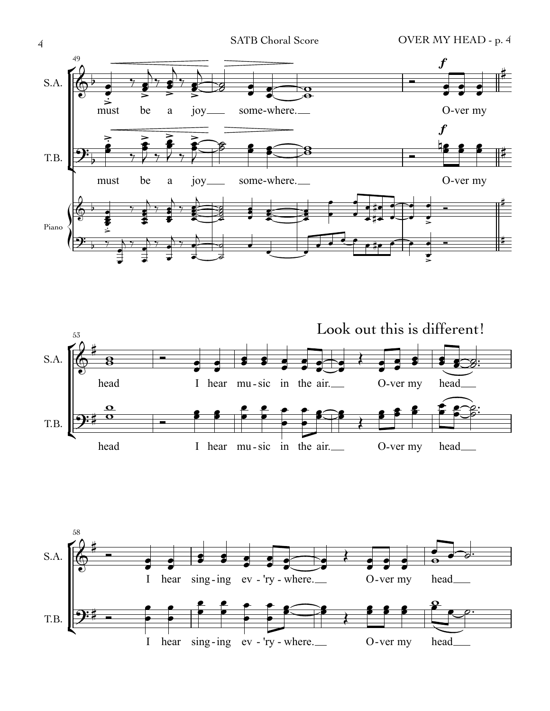







4